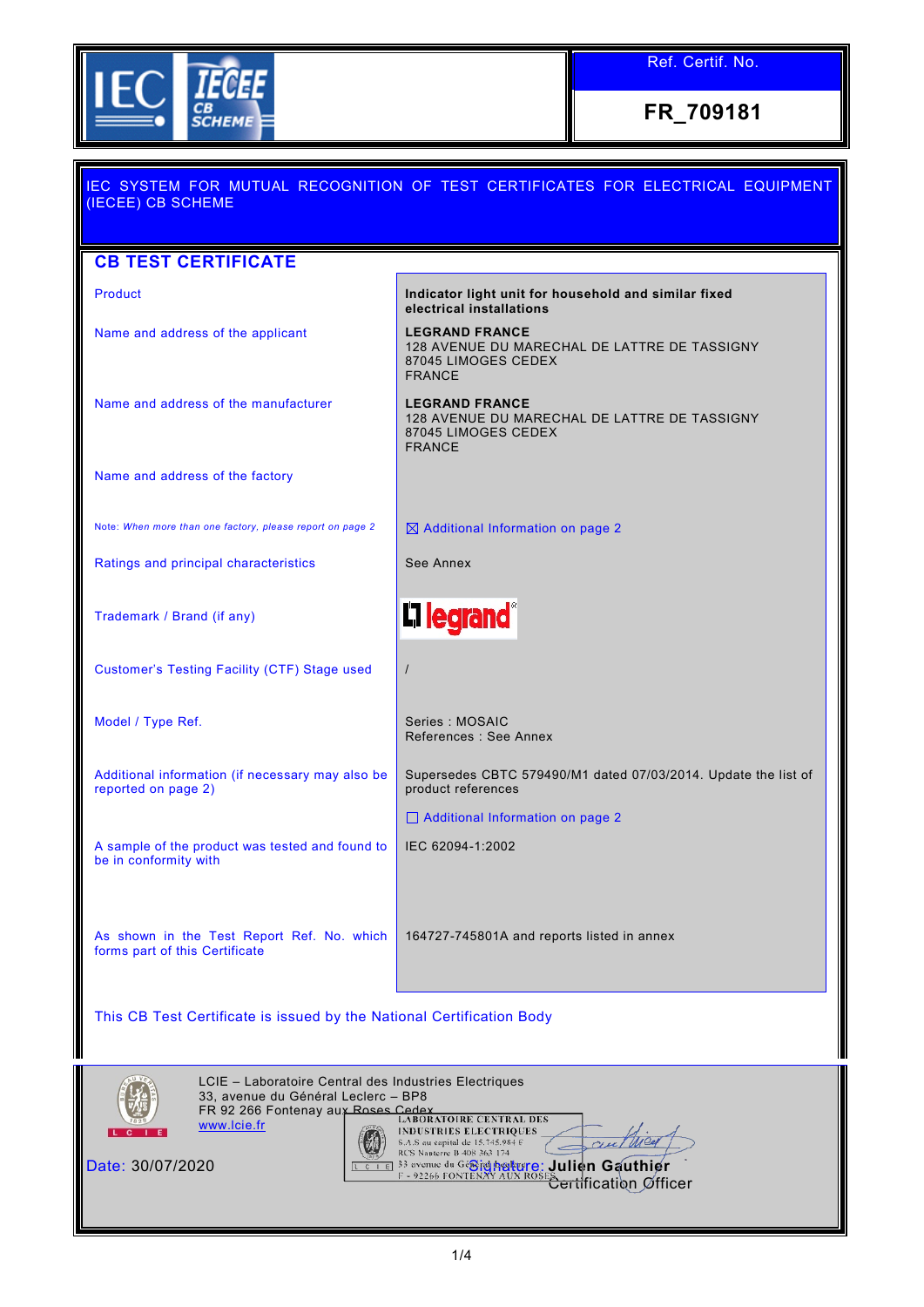

Ref. Certif. No.

**FR\_709181**

| IEC SYSTEM FOR MUTUAL RECOGNITION OF TEST CERTIFICATES FOR ELECTRICAL EQUIPMENT<br>(IECEE) CB SCHEME                                                                                                                |                                                                                                               |  |  |  |  |
|---------------------------------------------------------------------------------------------------------------------------------------------------------------------------------------------------------------------|---------------------------------------------------------------------------------------------------------------|--|--|--|--|
|                                                                                                                                                                                                                     |                                                                                                               |  |  |  |  |
| <b>CB TEST CERTIFICATE</b>                                                                                                                                                                                          |                                                                                                               |  |  |  |  |
| <b>Product</b>                                                                                                                                                                                                      | Indicator light unit for household and similar fixed<br>electrical installations                              |  |  |  |  |
| Name and address of the applicant                                                                                                                                                                                   | <b>LEGRAND FRANCE</b><br>128 AVENUE DU MARECHAL DE LATTRE DE TASSIGNY<br>87045 LIMOGES CEDEX<br><b>FRANCE</b> |  |  |  |  |
| Name and address of the manufacturer                                                                                                                                                                                | <b>LEGRAND FRANCE</b><br>128 AVENUE DU MARECHAL DE LATTRE DE TASSIGNY<br>87045 LIMOGES CEDEX<br><b>FRANCE</b> |  |  |  |  |
| Name and address of the factory                                                                                                                                                                                     |                                                                                                               |  |  |  |  |
| Note: When more than one factory, please report on page 2                                                                                                                                                           | $\boxtimes$ Additional Information on page 2                                                                  |  |  |  |  |
| Ratings and principal characteristics                                                                                                                                                                               | See Annex                                                                                                     |  |  |  |  |
| Trademark / Brand (if any)                                                                                                                                                                                          | <b>L'Ilegrand</b>                                                                                             |  |  |  |  |
| Customer's Testing Facility (CTF) Stage used                                                                                                                                                                        | $\prime$                                                                                                      |  |  |  |  |
| Model / Type Ref.                                                                                                                                                                                                   | Series: MOSAIC<br>References : See Annex                                                                      |  |  |  |  |
| Additional information (if necessary may also be<br>reported on page 2)                                                                                                                                             | Supersedes CBTC 579490/M1 dated 07/03/2014. Update the list of<br>product references                          |  |  |  |  |
|                                                                                                                                                                                                                     | Additional Information on page 2                                                                              |  |  |  |  |
| A sample of the product was tested and found to<br>be in conformity with                                                                                                                                            | IEC 62094-1:2002                                                                                              |  |  |  |  |
| As shown in the Test Report Ref. No. which<br>forms part of this Certificate                                                                                                                                        | 164727-745801A and reports listed in annex                                                                    |  |  |  |  |
| This CB Test Certificate is issued by the National Certification Body                                                                                                                                               |                                                                                                               |  |  |  |  |
| LCIE - Laboratoire Central des Industries Electriques<br>33, avenue du Général Leclerc - BP8<br>FR 92 266 Fontenay aux Roses Cedex<br><b>IBORATOIRE CENTRAL DES</b><br>www.lcie.fr<br><b>INDUSTRIES ELECTRIQUES</b> |                                                                                                               |  |  |  |  |

Date: 30/07/2020 Signature: **Julien Gauthier**

Certification Officer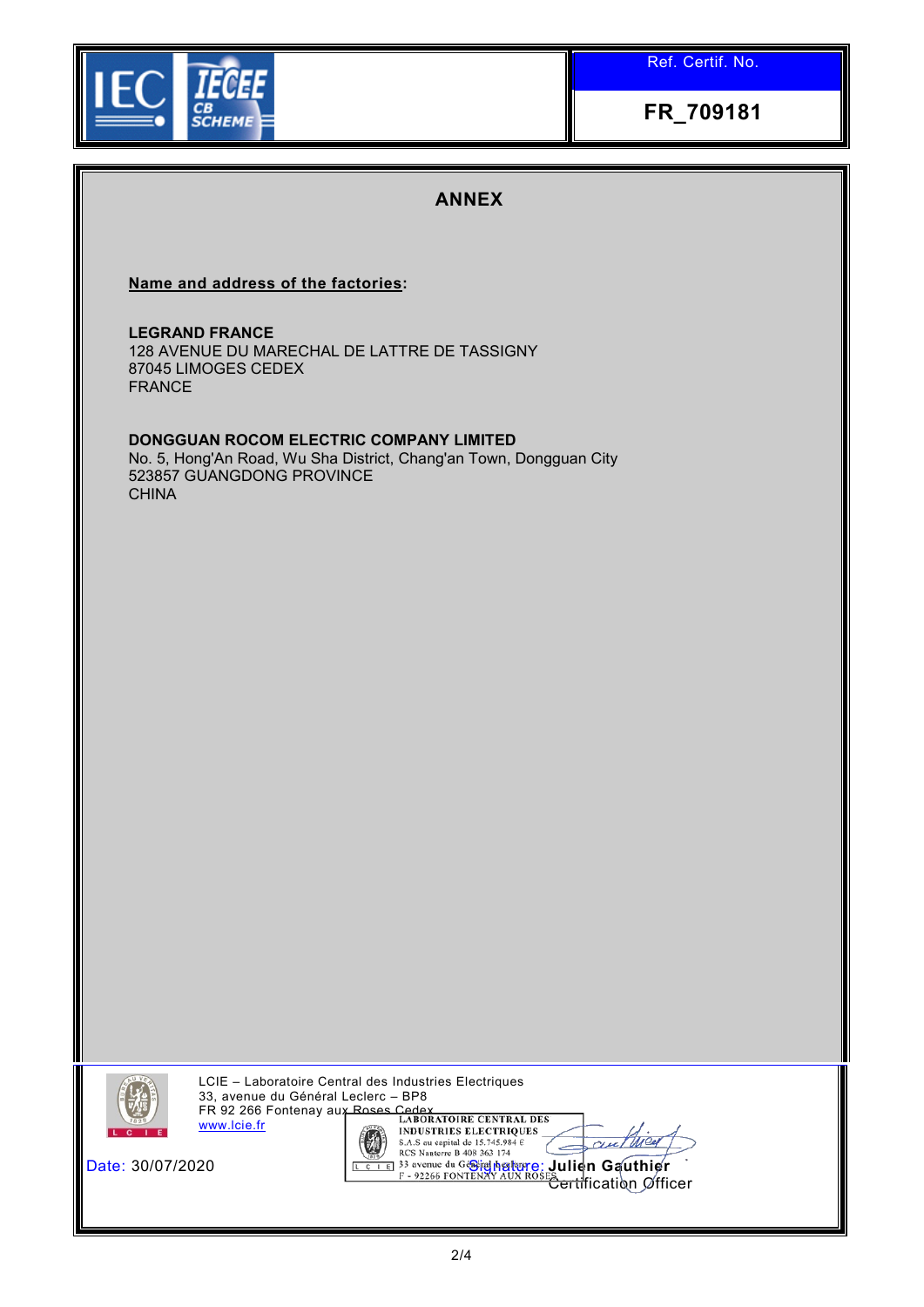Ref. Certif. No.



**FR\_709181**

# **ANNEX**

**Name and address of the factories:**

**LEGRAND FRANCE**  128 AVENUE DU MARECHAL DE LATTRE DE TASSIGNY 87045 LIMOGES CEDEX FRANCE

**DONGGUAN ROCOM ELECTRIC COMPANY LIMITED** No. 5, Hong'An Road, Wu Sha District, Chang'an Town, Dongguan City 523857 GUANGDONG PROVINCE **CHINA** 



LCIE – Laboratoire Central des Industries Electriques 33, avenue du Général Leclerc – BP8<br>
FR 92 266 Fontenay aux Roses Cedex<br>
MOUSTRIES ELECTRIQUES<br>
MOUSTRIES ELECTRIQUES<br>
S.A.S au capital de 15.745.984 € FR 92 266 Fontenay aux Roses [www.lcie.fr](http://www.lcie.fr/) U k. **RCS Nanterre B 408 363 174** <u>Date: 30/07/2020 Signature: বিভিন্ন যুগ ১৯৯৬ চনত উজুপি দুয়া dien Gauthier</u>

Certification Officer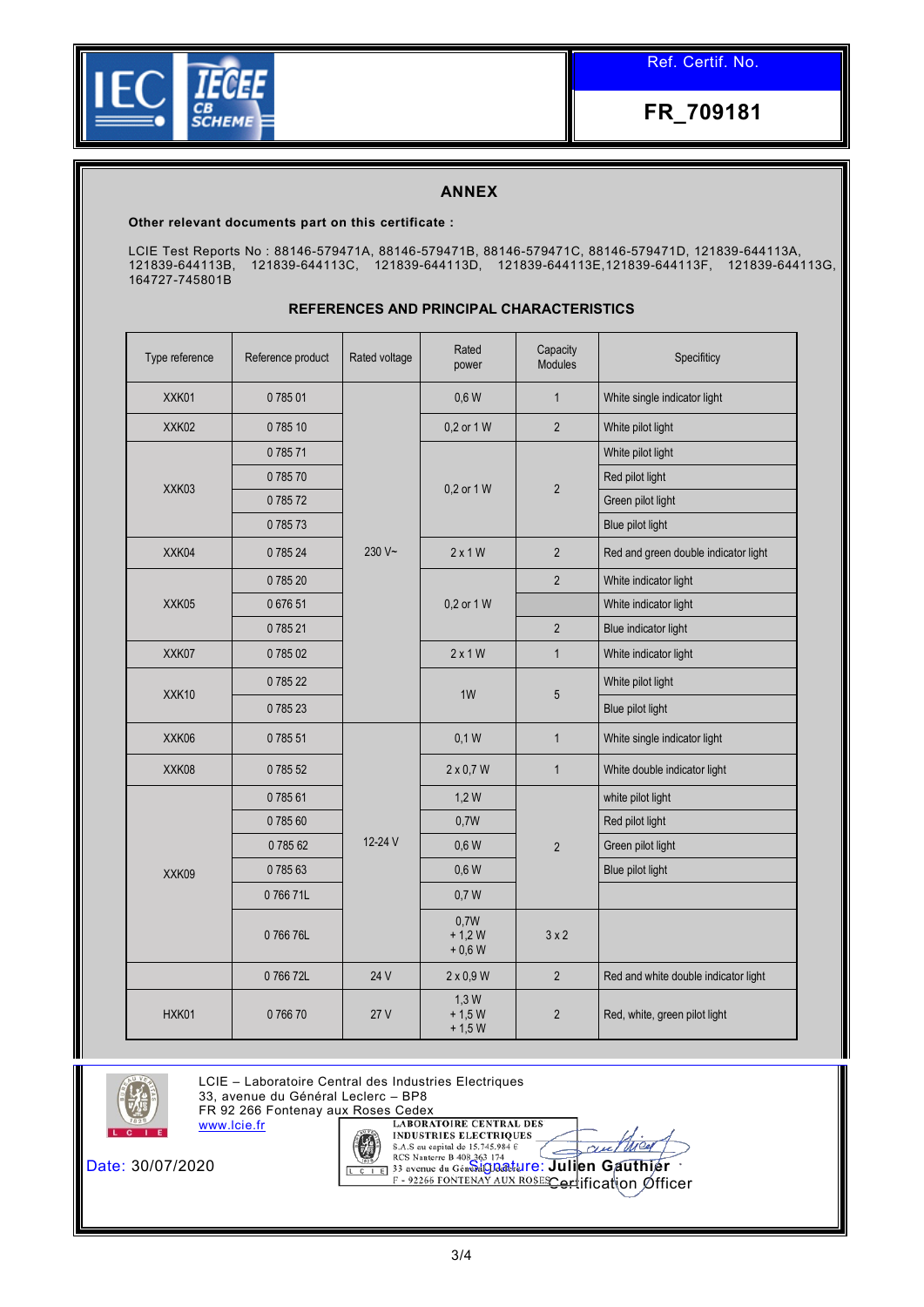

**FR\_709181**

## **ANNEX**

#### **Other relevant documents part on this certificate :**

LCIE Test Reports No : 88146-579471A, 88146-579471B, 88146-579471C, 88146-579471D, 121839-644113A, 121839-644113B, 121839-644113C, 121839-644113D, 121839-644113E,121839-644113F, 121839-644113G, 164727-745801B

| Type reference | Reference product | Rated voltage | Rated<br>power                 | Capacity<br>Modules | Specifiticy                          |
|----------------|-------------------|---------------|--------------------------------|---------------------|--------------------------------------|
| XXK01          | 078501            | $230V -$      | $0,6$ W                        | $\mathbf{1}$        | White single indicator light         |
| XXK02          | 078510            |               | 0,2 or 1 W                     | $\overline{2}$      | White pilot light                    |
| XXK03          | 078571            |               | 0,2 or 1 W                     | $\overline{2}$      | White pilot light                    |
|                | 078570            |               |                                |                     | Red pilot light                      |
|                | 078572            |               |                                |                     | Green pilot light                    |
|                | 078573            |               |                                |                     | Blue pilot light                     |
| XXK04          | 078524            |               | $2 \times 1$ W                 | $\overline{2}$      | Red and green double indicator light |
|                | 078520            |               | 0,2 or 1 W                     | $\overline{2}$      | White indicator light                |
| XXK05          | 067651            |               |                                |                     | White indicator light                |
|                | 078521            |               |                                | $\overline{2}$      | Blue indicator light                 |
| XXK07          | 078502            |               | $2 \times 1$ W                 | $\mathbf{1}$        | White indicator light                |
| XXK10          | 078522            |               | 1W                             | 5                   | White pilot light                    |
|                | 078523            |               |                                |                     | Blue pilot light                     |
| XXK06          | 078551            | 12-24 V       | $0,1$ W                        | $\mathbf{1}$        | White single indicator light         |
| XXK08          | 078552            |               | $2 \times 0.7 W$               | $\mathbf{1}$        | White double indicator light         |
| XXK09          | 078561            |               | 1,2W                           | $\overline{2}$      | white pilot light                    |
|                | 078560            |               | 0,7W                           |                     | Red pilot light                      |
|                | 078562            |               | $0,6$ W                        |                     | Green pilot light                    |
|                | 078563            |               | 0.6W                           |                     | Blue pilot light                     |
|                | 076671L           |               | 0,7 W                          |                     |                                      |
|                | 076676L           |               | 0,7W<br>$+1.2 W$<br>$+0.6 W$   | 3x2                 |                                      |
|                | 076672L           | 24 V          | $2 \times 0.9 W$               | $\overline{2}$      | Red and white double indicator light |
| HXK01          | 076670            | 27 V          | 1.3W<br>$+ 1,5 W$<br>$+ 1,5 W$ | $\overline{2}$      | Red, white, green pilot light        |

### **REFERENCES AND PRINCIPAL CHARACTERISTICS**



LCIE – Laboratoire Central des Industries Electriques 33, avenue du Général Leclerc – BP8 FR 92 266 Fontenay aux Roses Cedex [www.lcie.fr](http://www.lcie.fr/)

**Date: 30/07/2020** Signature: **Julien Gauthier**